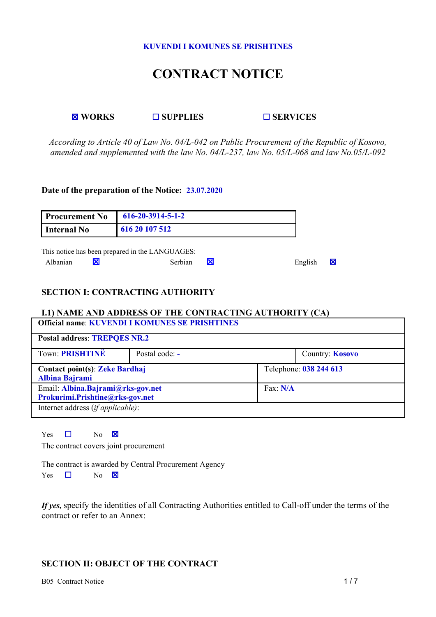#### **KUVENDI I KOMUNES SE PRISHTINES**

# **CONTRACT NOTICE**

**WORKS SUPPLIES SERVICES**

*According to Article 40 of Law No. 04/L-042 on Public Procurement of the Republic of Kosovo, amended and supplemented with the law No. 04/L-237, law No. 05/L-068 and law No.05/L-092*

#### **Date of the preparation of the Notice: 23.07.2020**

| <b>Procurement No</b> | $616 - 20 - 3914 - 5 - 1 - 2$                   |  |         |   |
|-----------------------|-------------------------------------------------|--|---------|---|
| Internal No           | 616 20 107 512                                  |  |         |   |
|                       | This notice has been prepared in the LANGUAGES: |  |         |   |
| Albanian              | <b>Serbian</b>                                  |  | English | X |

## **SECTION I: CONTRACTING AUTHORITY**

#### **I.1) NAME AND ADDRESS OF THE CONTRACTING AUTHORITY (CA) Official name**: **KUVENDI I KOMUNES SE PRISHTINES**

| <b>Postal address: TREPQES NR.2</b>   |                |                            |                        |
|---------------------------------------|----------------|----------------------------|------------------------|
| Town: PRISHTINE                       | Postal code: - |                            | Country: <b>Kosovo</b> |
| <b>Contact point(s): Zeke Bardhaj</b> |                | Telephone: 038 244 613     |                        |
| <b>Albina Bajrami</b>                 |                |                            |                        |
| Email: Albina.Bajrami@rks-gov.net     |                | $\text{Fax}: \textbf{N/A}$ |                        |
| Prokurimi.Prishtine@rks-gov.net       |                |                            |                        |
| Internet address (if applicable):     |                |                            |                        |
|                                       |                |                            |                        |

Yes  $\Box$  No  $\boxtimes$ 

The contract covers joint procurement

The contract is awarded by Central Procurement Agency

Yes  $\Box$  No  $\boxtimes$ 

*If* yes, specify the identities of all Contracting Authorities entitled to Call-off under the terms of the contract or refer to an Annex:

# **SECTION II: OBJECT OF THE CONTRACT**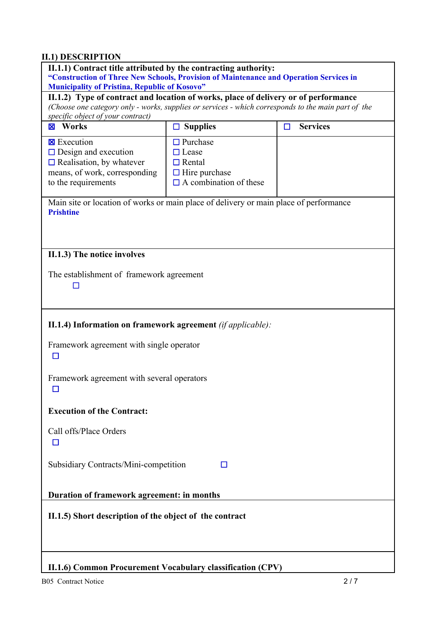# **II.1) DESCRIPTION**

| II.1.1) Contract title attributed by the contracting authority:<br>"Construction of Three New Schools, Provision of Maintenance and Operation Services in                                                                                                                               |                                                                                                           |                           |  |  |
|-----------------------------------------------------------------------------------------------------------------------------------------------------------------------------------------------------------------------------------------------------------------------------------------|-----------------------------------------------------------------------------------------------------------|---------------------------|--|--|
| <b>Municipality of Pristina, Republic of Kosovo"</b><br>II.1.2) Type of contract and location of works, place of delivery or of performance<br>(Choose one category only - works, supplies or services - which corresponds to the main part of the<br>specific object of your contract) |                                                                                                           |                           |  |  |
| <b>X</b> Works                                                                                                                                                                                                                                                                          | <b>Supplies</b><br>ப                                                                                      | <b>Services</b><br>$\Box$ |  |  |
| <b>EXecution</b><br>$\Box$ Design and execution<br>$\Box$ Realisation, by whatever<br>means, of work, corresponding<br>to the requirements                                                                                                                                              | $\Box$ Purchase<br>$\Box$ Lease<br>$\Box$ Rental<br>$\Box$ Hire purchase<br>$\Box$ A combination of these |                           |  |  |
| Main site or location of works or main place of delivery or main place of performance<br><b>Prishtine</b>                                                                                                                                                                               |                                                                                                           |                           |  |  |
| II.1.3) The notice involves                                                                                                                                                                                                                                                             |                                                                                                           |                           |  |  |
| The establishment of framework agreement                                                                                                                                                                                                                                                |                                                                                                           |                           |  |  |
| II.1.4) Information on framework agreement (if applicable):                                                                                                                                                                                                                             |                                                                                                           |                           |  |  |
| Framework agreement with single operator<br>П                                                                                                                                                                                                                                           |                                                                                                           |                           |  |  |
| Framework agreement with several operators                                                                                                                                                                                                                                              |                                                                                                           |                           |  |  |
| <b>Execution of the Contract:</b>                                                                                                                                                                                                                                                       |                                                                                                           |                           |  |  |
| Call offs/Place Orders<br>ш                                                                                                                                                                                                                                                             |                                                                                                           |                           |  |  |
| Subsidiary Contracts/Mini-competition<br>□                                                                                                                                                                                                                                              |                                                                                                           |                           |  |  |
| Duration of framework agreement: in months                                                                                                                                                                                                                                              |                                                                                                           |                           |  |  |
| II.1.5) Short description of the object of the contract                                                                                                                                                                                                                                 |                                                                                                           |                           |  |  |
| II.1.6) Common Procurement Vocabulary classification (CPV)                                                                                                                                                                                                                              |                                                                                                           |                           |  |  |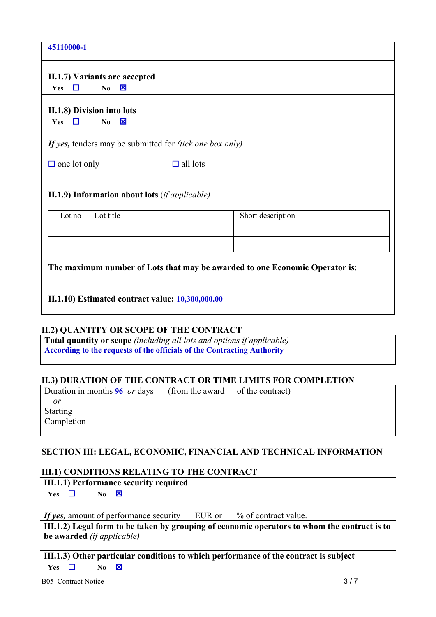| 45110000-1          |                                                                       |                                                                 |                   |  |
|---------------------|-----------------------------------------------------------------------|-----------------------------------------------------------------|-------------------|--|
|                     | II.1.7) Variants are accepted                                         |                                                                 |                   |  |
| Yes                 | $\boxtimes$<br>N <sub>0</sub>                                         |                                                                 |                   |  |
| □<br>Yes            | II.1.8) Division into lots<br>$\mathbf{\mathbf{X}}$<br>N <sub>0</sub> |                                                                 |                   |  |
|                     |                                                                       |                                                                 |                   |  |
|                     |                                                                       | If yes, tenders may be submitted for <i>(tick one box only)</i> |                   |  |
| $\Box$ one lot only |                                                                       | $\Box$ all lots                                                 |                   |  |
|                     | II.1.9) Information about lots $(ifappliedbe)$                        |                                                                 |                   |  |
| Lot no              | Lot title                                                             |                                                                 | Short description |  |
|                     |                                                                       |                                                                 |                   |  |

**The maximum number of Lots that may be awarded to one Economic Operator is**:

**II.1.10) Estimated contract value: 10,300,000.00**

#### **II.2) QUANTITY OR SCOPE OF THE CONTRACT**

**Total quantity or scope** *(including all lots and options if applicable)* **According to the requests of the officials of the Contracting Authority**

#### **II.3) DURATION OF THE CONTRACT OR TIME LIMITS FOR COMPLETION**

Duration in months **96** *or* days (from the award of the contract)  *or* Starting Completion

# **SECTION III: LEGAL, ECONOMIC, FINANCIAL AND TECHNICAL INFORMATION**

# **III.1) CONDITIONS RELATING TO THE CONTRACT**

**III.1.1) Performance security required Yes No** *If* yes, amount of performance security EUR or % of contract value. **III.1.2) Legal form to be taken by grouping of economic operators to whom the contract is to be awarded** *(if applicable)* **III.1.3) Other particular conditions to which performance of the contract is subject Yes No**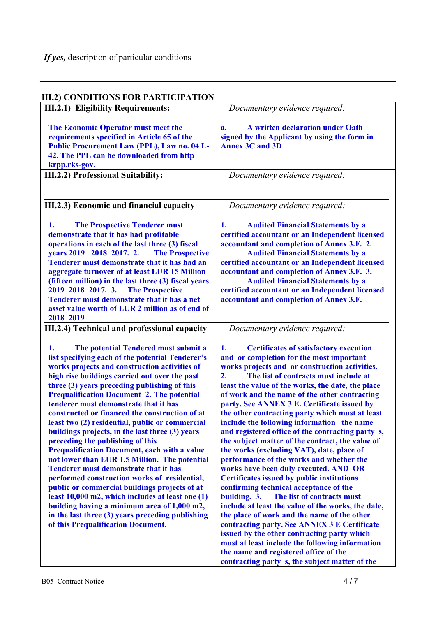| <b>III.2) CONDITIONS FOR PARTICIPATION</b>                                                                                                                                                                                                                                                                                                                                                                                                                                                                                                                                                                                                                                                                                                                                                                                                                                                                                                                                                       |                                                                                                                                                                                                                                                                                                                                                                                                                                                                                                                                                                                                                                                                                                                                                                                                                                                                                                                                                                                                                                                                                                                                                |
|--------------------------------------------------------------------------------------------------------------------------------------------------------------------------------------------------------------------------------------------------------------------------------------------------------------------------------------------------------------------------------------------------------------------------------------------------------------------------------------------------------------------------------------------------------------------------------------------------------------------------------------------------------------------------------------------------------------------------------------------------------------------------------------------------------------------------------------------------------------------------------------------------------------------------------------------------------------------------------------------------|------------------------------------------------------------------------------------------------------------------------------------------------------------------------------------------------------------------------------------------------------------------------------------------------------------------------------------------------------------------------------------------------------------------------------------------------------------------------------------------------------------------------------------------------------------------------------------------------------------------------------------------------------------------------------------------------------------------------------------------------------------------------------------------------------------------------------------------------------------------------------------------------------------------------------------------------------------------------------------------------------------------------------------------------------------------------------------------------------------------------------------------------|
| <b>III.2.1) Eligibility Requirements:</b>                                                                                                                                                                                                                                                                                                                                                                                                                                                                                                                                                                                                                                                                                                                                                                                                                                                                                                                                                        | Documentary evidence required:                                                                                                                                                                                                                                                                                                                                                                                                                                                                                                                                                                                                                                                                                                                                                                                                                                                                                                                                                                                                                                                                                                                 |
| The Economic Operator must meet the<br>requirements specified in Article 65 of the<br>Public Procurement Law (PPL), Law no. 04 L-<br>42. The PPL can be downloaded from http<br>krpp.rks-gov.                                                                                                                                                                                                                                                                                                                                                                                                                                                                                                                                                                                                                                                                                                                                                                                                    | A written declaration under Oath<br>a.<br>signed by the Applicant by using the form in<br><b>Annex 3C and 3D</b>                                                                                                                                                                                                                                                                                                                                                                                                                                                                                                                                                                                                                                                                                                                                                                                                                                                                                                                                                                                                                               |
| III.2.2) Professional Suitability:                                                                                                                                                                                                                                                                                                                                                                                                                                                                                                                                                                                                                                                                                                                                                                                                                                                                                                                                                               | Documentary evidence required:                                                                                                                                                                                                                                                                                                                                                                                                                                                                                                                                                                                                                                                                                                                                                                                                                                                                                                                                                                                                                                                                                                                 |
|                                                                                                                                                                                                                                                                                                                                                                                                                                                                                                                                                                                                                                                                                                                                                                                                                                                                                                                                                                                                  |                                                                                                                                                                                                                                                                                                                                                                                                                                                                                                                                                                                                                                                                                                                                                                                                                                                                                                                                                                                                                                                                                                                                                |
| III.2.3) Economic and financial capacity                                                                                                                                                                                                                                                                                                                                                                                                                                                                                                                                                                                                                                                                                                                                                                                                                                                                                                                                                         | Documentary evidence required:                                                                                                                                                                                                                                                                                                                                                                                                                                                                                                                                                                                                                                                                                                                                                                                                                                                                                                                                                                                                                                                                                                                 |
| <b>The Prospective Tenderer must</b><br>1.<br>demonstrate that it has had profitable<br>operations in each of the last three (3) fiscal<br>years 2019 2018 2017. 2.<br><b>The Prospective</b><br>Tenderer must demonstrate that it has had an<br>aggregate turnover of at least EUR 15 Million<br>(fifteen million) in the last three (3) fiscal years<br>2019 2018 2017. 3.<br><b>The Prospective</b><br>Tenderer must demonstrate that it has a net<br>asset value worth of EUR 2 million as of end of<br>2018 2019                                                                                                                                                                                                                                                                                                                                                                                                                                                                            | <b>Audited Financial Statements by a</b><br>1.<br>certified accountant or an Independent licensed<br>accountant and completion of Annex 3.F. 2.<br><b>Audited Financial Statements by a</b><br>certified accountant or an Independent licensed<br>accountant and completion of Annex 3.F. 3.<br><b>Audited Financial Statements by a</b><br>certified accountant or an Independent licensed<br>accountant and completion of Annex 3.F.                                                                                                                                                                                                                                                                                                                                                                                                                                                                                                                                                                                                                                                                                                         |
| III.2.4) Technical and professional capacity                                                                                                                                                                                                                                                                                                                                                                                                                                                                                                                                                                                                                                                                                                                                                                                                                                                                                                                                                     | Documentary evidence required:                                                                                                                                                                                                                                                                                                                                                                                                                                                                                                                                                                                                                                                                                                                                                                                                                                                                                                                                                                                                                                                                                                                 |
| The potential Tendered must submit a<br>1.<br>list specifying each of the potential Tenderer's<br>works projects and construction activities of<br>high rise buildings carried out over the past<br>three (3) years preceding publishing of this<br><b>Prequalification Document 2. The potential</b><br>tenderer must demonstrate that it has<br>constructed or financed the construction of at<br>least two (2) residential, public or commercial<br>buildings projects, in the last three (3) years<br>preceding the publishing of this<br><b>Prequalification Document, each with a value</b><br>not lower than EUR 1.5 Million. The potential<br><b>Tenderer must demonstrate that it has</b><br>performed construction works of residential,<br>public or commercial buildings projects of at<br>least 10,000 m2, which includes at least one (1)<br>building having a minimum area of 1,000 m2,<br>in the last three (3) years preceding publishing<br>of this Prequalification Document. | <b>Certificates of satisfactory execution</b><br>1.<br>and or completion for the most important<br>works projects and or construction activities.<br>2.<br>The list of contracts must include at<br>least the value of the works, the date, the place<br>of work and the name of the other contracting<br>party. See ANNEX 3 E. Certificate issued by<br>the other contracting party which must at least<br>include the following information the name<br>and registered office of the contracting party s,<br>the subject matter of the contract, the value of<br>the works (excluding VAT), date, place of<br>performance of the works and whether the<br>works have been duly executed. AND OR<br><b>Certificates issued by public institutions</b><br>confirming technical acceptance of the<br>The list of contracts must<br>building. 3.<br>include at least the value of the works, the date,<br>the place of work and the name of the other<br>contracting party. See ANNEX 3 E Certificate<br>issued by the other contracting party which<br>must at least include the following information<br>the name and registered office of the |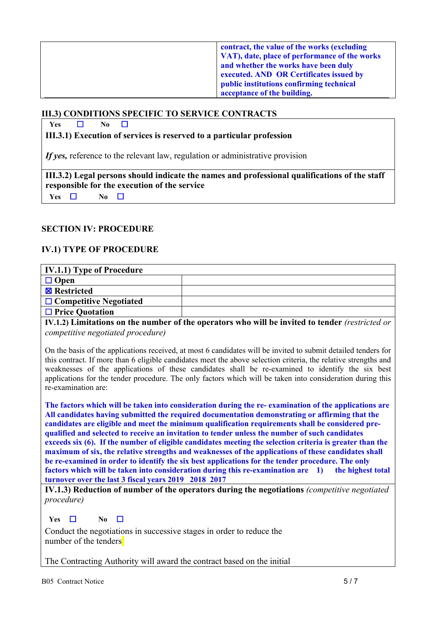| contract, the value of the works (excluding   |
|-----------------------------------------------|
| VAT), date, place of performance of the works |
| and whether the works have been duly          |
| executed. AND OR Certificates issued by       |
| public institutions confirming technical      |
| acceptance of the building.                   |

#### **III.3) CONDITIONS SPECIFIC TO SERVICE CONTRACTS**

**Yes**  $\Box$  **No**  $\Box$ 

**III.3.1) Execution of services is reserved to a particular profession**

*If yes,* reference to the relevant law, regulation or administrative provision

 **III.3.2) Legal persons should indicate the names and professional qualifications of the staff responsible for the execution of the service Yes**  $\Box$  **No**  $\Box$ 

#### **SECTION IV: PROCEDURE**

## **IV.1) TYPE OF PROCEDURE**

| IV.1.1) Type of Procedure     |  |  |
|-------------------------------|--|--|
| $\Box$ Open                   |  |  |
| <b>EX</b> Restricted          |  |  |
| $\Box$ Competitive Negotiated |  |  |
| $\Box$ Price Quotation        |  |  |

**IV.1.2) Limitations on the number of the operators who will be invited to tender** *(restricted or competitive negotiated procedure)*

On the basis of the applications received, at most 6 candidates will be invited to submit detailed tenders for this contract. If more than 6 eligible candidates meet the above selection criteria, the relative strengths and weaknesses of the applications of these candidates shall be re-examined to identify the six best applications for the tender procedure. The only factors which will be taken into consideration during this re-examination are:

**The factors which will be taken into consideration during the re- examination of the applications are All candidates having submitted the required documentation demonstrating or affirming that the candidates are eligible and meet the minimum qualification requirements shall be considered prequalified and selected to receive an invitation to tender unless the number of such candidates exceeds six (6). If the number of eligible candidates meeting the selection criteria is greater than the maximum of six, the relative strengths and weaknesses of the applications of these candidates shall be re-examined in order to identify the six best applications for the tender procedure. The only factors which will be taken into consideration during this re-examination are 1) the highest total turnover over the last 3 fiscal years 2019 2018 2017**

**IV.1.3) Reduction of number of the operators during the negotiations** *(competitive negotiated procedure)*

**Yes**  $\Box$  **No**  $\Box$ 

Conduct the negotiations in successive stages in order to reduce the number of the tenders

The Contracting Authority will award the contract based on the initial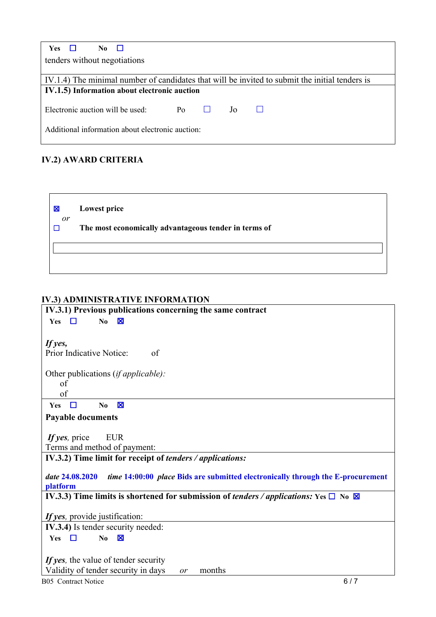| <b>Yes</b><br>No.<br>$\Box$                                                                    |  |  |  |  |  |
|------------------------------------------------------------------------------------------------|--|--|--|--|--|
| tenders without negotiations                                                                   |  |  |  |  |  |
|                                                                                                |  |  |  |  |  |
| IV.1.4) The minimal number of candidates that will be invited to submit the initial tenders is |  |  |  |  |  |
| IV.1.5) Information about electronic auction                                                   |  |  |  |  |  |
|                                                                                                |  |  |  |  |  |
| Electronic auction will be used:<br>$P_{O}$<br>Jo.                                             |  |  |  |  |  |
| Additional information about electronic auction:                                               |  |  |  |  |  |

# **IV.2) AWARD CRITERIA**

| 図<br>or | <b>Lowest price</b>                                   |
|---------|-------------------------------------------------------|
|         | The most economically advantageous tender in terms of |
|         |                                                       |

# **IV.3) ADMINISTRATIVE INFORMATION**

| IV.3.1) Previous publications concerning the same contract                                                      |
|-----------------------------------------------------------------------------------------------------------------|
| No<br><b>Yes</b><br>П<br>×                                                                                      |
|                                                                                                                 |
| If yes,                                                                                                         |
| Prior Indicative Notice:<br>of                                                                                  |
|                                                                                                                 |
| Other publications (if applicable):                                                                             |
| of                                                                                                              |
| of                                                                                                              |
| $\boxtimes$<br>$\Box$<br>Yes<br>N <sub>0</sub>                                                                  |
| <b>Payable documents</b>                                                                                        |
|                                                                                                                 |
| If yes, price<br><b>EUR</b>                                                                                     |
| Terms and method of payment:                                                                                    |
| IV.3.2) Time limit for receipt of <i>tenders / applications:</i>                                                |
|                                                                                                                 |
| time 14:00:00 place Bids are submitted electronically through the E-procurement<br>date 24.08.2020              |
| platform                                                                                                        |
| IV.3.3) Time limits is shortened for submission of <i>tenders / applications</i> : Yes $\square$ No $\boxtimes$ |
|                                                                                                                 |
| If yes, provide justification:                                                                                  |
| IV.3.4) Is tender security needed:                                                                              |
| $\Box$<br>Yes<br>N <sub>0</sub><br>⊠                                                                            |
|                                                                                                                 |
| If yes, the value of tender security                                                                            |
| Validity of tender security in days<br>months<br>or                                                             |
| 6/7<br><b>B05</b> Contract Notice                                                                               |